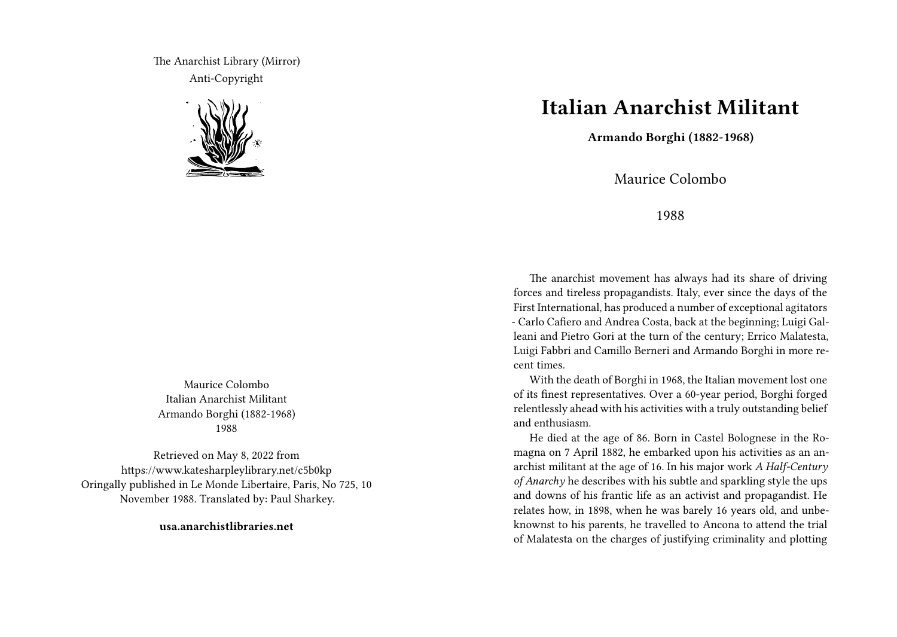The Anarchist Library (Mirror) Anti-Copyright



Maurice Colombo Italian Anarchist Militant Armando Borghi (1882-1968) 1988

Retrieved on May 8, 2022 from https://www.katesharpleylibrary.net/c5b0kp Oringally published in Le Monde Libertaire, Paris, No 725, 10 November 1988. Translated by: Paul Sharkey.

**usa.anarchistlibraries.net**

## **Italian Anarchist Militant**

**Armando Borghi (1882-1968)**

Maurice Colombo

1988

The anarchist movement has always had its share of driving forces and tireless propagandists. Italy, ever since the days of the First International, has produced a number of exceptional agitators - Carlo Cafiero and Andrea Costa, back at the beginning; Luigi Galleani and Pietro Gori at the turn of the century; Errico Malatesta, Luigi Fabbri and Camillo Berneri and Armando Borghi in more recent times.

With the death of Borghi in 1968, the Italian movement lost one of its finest representatives. Over a 60-year period, Borghi forged relentlessly ahead with his activities with a truly outstanding belief and enthusiasm.

He died at the age of 86. Born in Castel Bolognese in the Romagna on 7 April 1882, he embarked upon his activities as an anarchist militant at the age of 16. In his major work *A Half-Century of Anarchy* he describes with his subtle and sparkling style the ups and downs of his frantic life as an activist and propagandist. He relates how, in 1898, when he was barely 16 years old, and unbeknownst to his parents, he travelled to Ancona to attend the trial of Malatesta on the charges of justifying criminality and plotting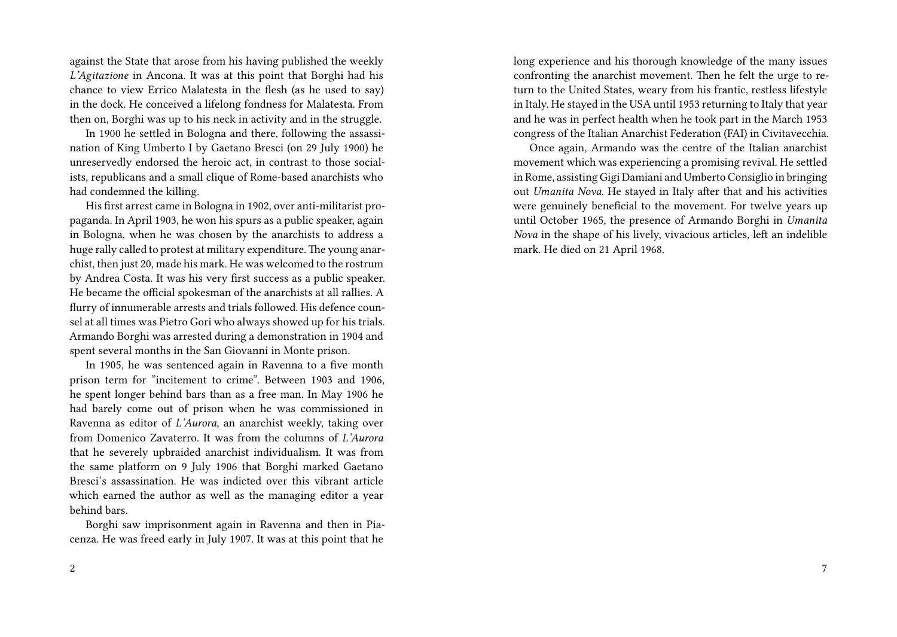against the State that arose from his having published the weekly *L'Agitazione* in Ancona. It was at this point that Borghi had his chance to view Errico Malatesta in the flesh (as he used to say) in the dock. He conceived a lifelong fondness for Malatesta. From then on, Borghi was up to his neck in activity and in the struggle.

In 1900 he settled in Bologna and there, following the assassination of King Umberto I by Gaetano Bresci (on 29 July 1900) he unreservedly endorsed the heroic act, in contrast to those socialists, republicans and a small clique of Rome-based anarchists who had condemned the killing.

His first arrest came in Bologna in 1902, over anti-militarist propaganda. In April 1903, he won his spurs as a public speaker, again in Bologna, when he was chosen by the anarchists to address a huge rally called to protest at military expenditure.The young anarchist, then just 20, made his mark. He was welcomed to the rostrum by Andrea Costa. It was his very first success as a public speaker. He became the official spokesman of the anarchists at all rallies. A flurry of innumerable arrests and trials followed. His defence counsel at all times was Pietro Gori who always showed up for his trials. Armando Borghi was arrested during a demonstration in 1904 and spent several months in the San Giovanni in Monte prison.

In 1905, he was sentenced again in Ravenna to a five month prison term for "incitement to crime". Between 1903 and 1906, he spent longer behind bars than as a free man. In May 1906 he had barely come out of prison when he was commissioned in Ravenna as editor of *L'Aurora*, an anarchist weekly, taking over from Domenico Zavaterro. It was from the columns of *L'Aurora* that he severely upbraided anarchist individualism. It was from the same platform on 9 July 1906 that Borghi marked Gaetano Bresci's assassination. He was indicted over this vibrant article which earned the author as well as the managing editor a year behind bars.

Borghi saw imprisonment again in Ravenna and then in Piacenza. He was freed early in July 1907. It was at this point that he

long experience and his thorough knowledge of the many issues confronting the anarchist movement. Then he felt the urge to return to the United States, weary from his frantic, restless lifestyle in Italy. He stayed in the USA until 1953 returning to Italy that year and he was in perfect health when he took part in the March 1953 congress of the Italian Anarchist Federation (FAI) in Civitavecchia.

Once again, Armando was the centre of the Italian anarchist movement which was experiencing a promising revival. He settled in Rome, assisting Gigi Damiani and Umberto Consiglio in bringing out *Umanita Nova*. He stayed in Italy after that and his activities were genuinely beneficial to the movement. For twelve years up until October 1965, the presence of Armando Borghi in *Umanita Nova* in the shape of his lively, vivacious articles, left an indelible mark. He died on 21 April 1968.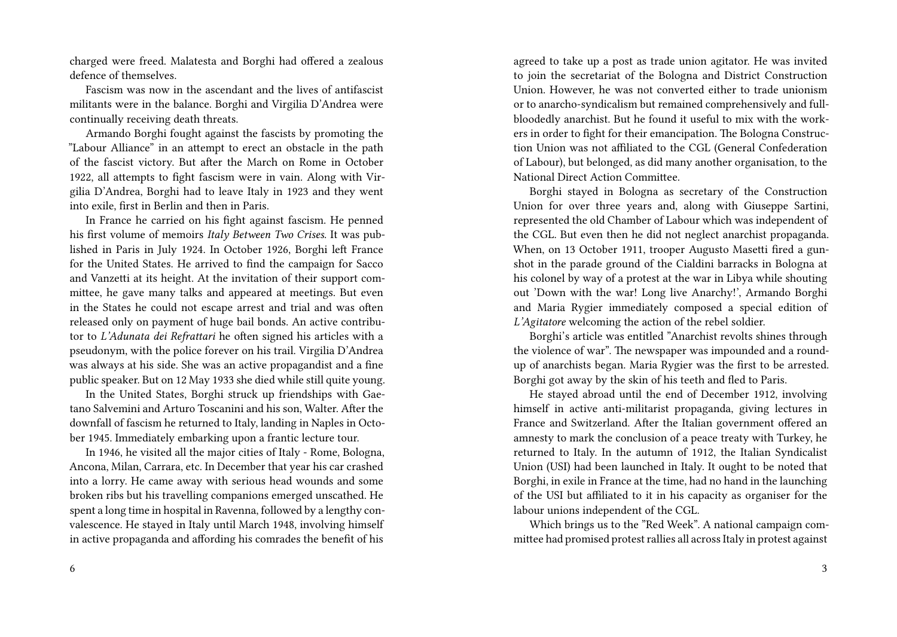charged were freed. Malatesta and Borghi had offered a zealous defence of themselves.

Fascism was now in the ascendant and the lives of antifascist militants were in the balance. Borghi and Virgilia D'Andrea were continually receiving death threats.

Armando Borghi fought against the fascists by promoting the "Labour Alliance" in an attempt to erect an obstacle in the path of the fascist victory. But after the March on Rome in October 1922, all attempts to fight fascism were in vain. Along with Virgilia D'Andrea, Borghi had to leave Italy in 1923 and they went into exile, first in Berlin and then in Paris.

In France he carried on his fight against fascism. He penned his first volume of memoirs *Italy Between Two Crises*. It was published in Paris in July 1924. In October 1926, Borghi left France for the United States. He arrived to find the campaign for Sacco and Vanzetti at its height. At the invitation of their support committee, he gave many talks and appeared at meetings. But even in the States he could not escape arrest and trial and was often released only on payment of huge bail bonds. An active contributor to *L'Adunata dei Refrattari* he often signed his articles with a pseudonym, with the police forever on his trail. Virgilia D'Andrea was always at his side. She was an active propagandist and a fine public speaker. But on 12 May 1933 she died while still quite young.

In the United States, Borghi struck up friendships with Gaetano Salvemini and Arturo Toscanini and his son, Walter. After the downfall of fascism he returned to Italy, landing in Naples in October 1945. Immediately embarking upon a frantic lecture tour.

In 1946, he visited all the major cities of Italy - Rome, Bologna, Ancona, Milan, Carrara, etc. In December that year his car crashed into a lorry. He came away with serious head wounds and some broken ribs but his travelling companions emerged unscathed. He spent a long time in hospital in Ravenna, followed by a lengthy convalescence. He stayed in Italy until March 1948, involving himself in active propaganda and affording his comrades the benefit of his

agreed to take up a post as trade union agitator. He was invited to join the secretariat of the Bologna and District Construction Union. However, he was not converted either to trade unionism or to anarcho-syndicalism but remained comprehensively and fullbloodedly anarchist. But he found it useful to mix with the workers in order to fight for their emancipation. The Bologna Construction Union was not affiliated to the CGL (General Confederation of Labour), but belonged, as did many another organisation, to the National Direct Action Committee.

Borghi stayed in Bologna as secretary of the Construction Union for over three years and, along with Giuseppe Sartini, represented the old Chamber of Labour which was independent of the CGL. But even then he did not neglect anarchist propaganda. When, on 13 October 1911, trooper Augusto Masetti fired a gunshot in the parade ground of the Cialdini barracks in Bologna at his colonel by way of a protest at the war in Libya while shouting out 'Down with the war! Long live Anarchy!', Armando Borghi and Maria Rygier immediately composed a special edition of *L'Agitatore* welcoming the action of the rebel soldier.

Borghi's article was entitled "Anarchist revolts shines through the violence of war". The newspaper was impounded and a roundup of anarchists began. Maria Rygier was the first to be arrested. Borghi got away by the skin of his teeth and fled to Paris.

He stayed abroad until the end of December 1912, involving himself in active anti-militarist propaganda, giving lectures in France and Switzerland. After the Italian government offered an amnesty to mark the conclusion of a peace treaty with Turkey, he returned to Italy. In the autumn of 1912, the Italian Syndicalist Union (USI) had been launched in Italy. It ought to be noted that Borghi, in exile in France at the time, had no hand in the launching of the USI but affiliated to it in his capacity as organiser for the labour unions independent of the CGL.

Which brings us to the "Red Week". A national campaign committee had promised protest rallies all across Italy in protest against